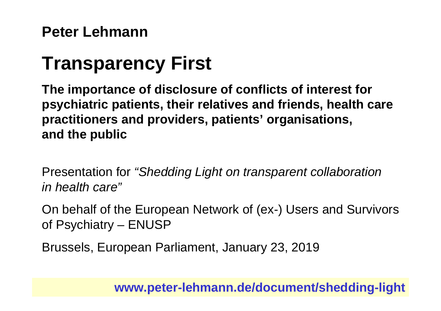#### **Peter Lehmann**

# **Transparency First**

**The importance of disclosure of conflicts of interest for psychiatric patients, their relatives and friends, health care practitioners and providers, patients' organisations, and the public**

Presentation for *"Shedding Light on transparent collaboration in health care"*

On behalf of the European Network of (ex-) Users and Survivors of Psychiatry – ENUSP

Brussels, European Parliament, January 23, 2019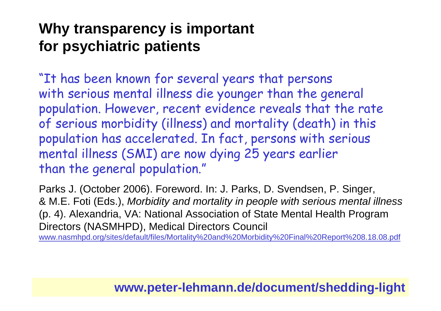"It has been known for several years that persons with serious mental illness die younger than the general population. However, recent evidence reveals that the rate of serious morbidity (illness) and mortality (death) in this population has accelerated. In fact, persons with serious mental illness (SMI) are now dying 25 years earlier than the general population."

Parks J. (October 2006). Foreword. In: J. Parks, D. Svendsen, P. Singer, & M.E. Foti (Eds.), *Morbidity and mortality in people with serious mental illness* (p. 4). Alexandria, VA: National Association of State Mental Health Program Directors (NASMHPD), Medical Directors Council www.nasmhpd.org/sites/default/files/Mortality%20and%20Morbidity%20Final%20Report%208.18.08.pdf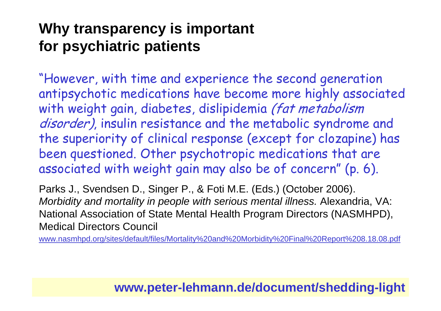"However, with time and experience the second generation antipsychotic medications have become more highly associated with weight gain, diabetes, dislipidemia (fat metabolism disorder), insulin resistance and the metabolic syndrome and the superiority of clinical response (except for clozapine) has been questioned. Other psychotropic medications that are associated with weight gain may also be of concern" (p. 6).

Parks J., Svendsen D., Singer P., & Foti M.E. (Eds.) (October 2006). *Morbidity and mortality in people with serious mental illness.* Alexandria, VA: National Association of State Mental Health Program Directors (NASMHPD), Medical Directors Council

www.nasmhpd.org/sites/default/files/Mortality%20and%20Morbidity%20Final%20Report%208.18.08.pdf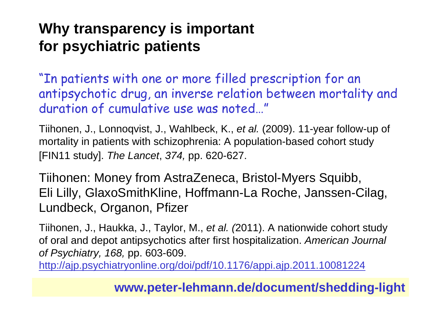"In patients with one or more filled prescription for an antipsychotic drug, an inverse relation between mortality and duration of cumulative use was noted…"

Tiihonen, J., Lonnoqvist, J., Wahlbeck, K., *et al.* (2009). 11-year follow-up of mortality in patients with schizophrenia: A population-based cohort study [FIN11 study]. *The Lancet*, *374,* pp. 620-627.

Tiihonen: Money from AstraZeneca, Bristol-Myers Squibb, Eli Lilly, GlaxoSmithKline, Hoffmann-La Roche, Janssen-Cilag, Lundbeck, Organon, Pfizer

Tiihonen, J., Haukka, J., Taylor, M., *et al. (*2011). A nationwide cohort study of oral and depot antipsychotics after first hospitalization. *American Journal of Psychiatry, 168,* pp. 603-609.

http://ajp.psychiatryonline.org/doi/pdf/10.1176/appi.ajp.2011.10081224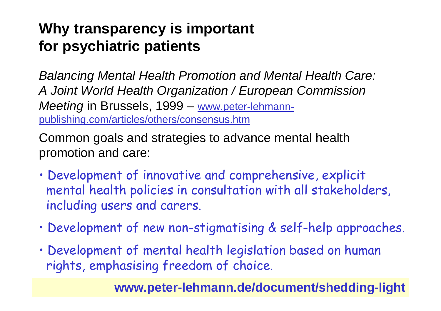*Balancing Mental Health Promotion and Mental Health Care: A Joint World Health Organization / European Commission Meeting* in Brussels, 1999 – www.peter-lehmannpublishing.com/articles/others/consensus.htm

Common goals and strategies to advance mental health promotion and care:

- Development of innovative and comprehensive, explicit mental health policies in consultation with all stakeholders, including users and carers.
- Development of new non-stigmatising & self-help approaches.
- Development of mental health legislation based on human rights, emphasising freedom of choice.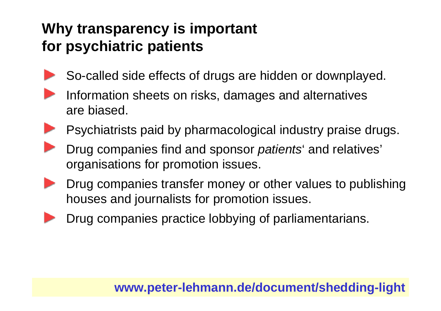So-called side effects of drugs are hidden or downplayed.



- Psychiatrists paid by pharmacological industry praise drugs.
- Drug companies find and sponsor *patients*' and relatives' organisations for promotion issues.
- Drug companies transfer money or other values to publishing houses and journalists for promotion issues.
- 
- Drug companies practice lobbying of parliamentarians.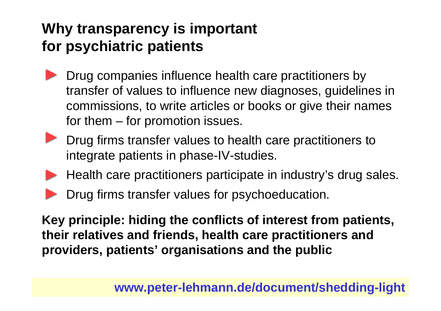- Drug companies influence health care practitioners by transfer of values to influence new diagnoses, guidelines in commissions, to write articles or books or give their names for them – for promotion issues.
- **Drug firms transfer values to health care practitioners to** integrate patients in phase-IV-studies.
- Health care practitioners participate in industry's drug sales.
- Drug firms transfer values for psychoeducation.

**Key principle: hiding the conflicts of interest from patients, their relatives and friends, health care practitioners and providers, patients' organisations and the public**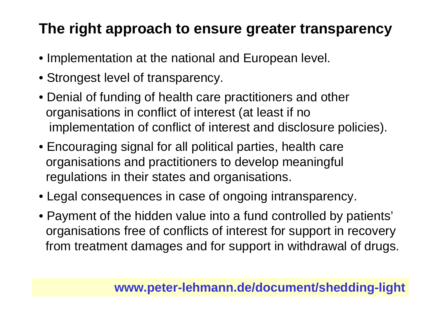## **The right approach to ensure greater transparency**

- Implementation at the national and European level.
- Strongest level of transparency.
- Denial of funding of health care practitioners and other organisations in conflict of interest (at least if no implementation of conflict of interest and disclosure policies).
- Encouraging signal for all political parties, health care organisations and practitioners to develop meaningful regulations in their states and organisations.
- Legal consequences in case of ongoing intransparency.
- Payment of the hidden value into a fund controlled by patients' organisations free of conflicts of interest for support in recovery from treatment damages and for support in withdrawal of drugs.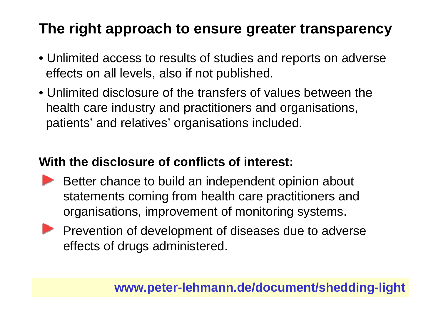## **The right approach to ensure greater transparency**

- Unlimited access to results of studies and reports on adverse effects on all levels, also if not published.
- Unlimited disclosure of the transfers of values between thehealth care industry and practitioners and organisations, patients' and relatives' organisations included.

#### **With the disclosure of conflicts of interest:**

- Better chance to build an independent opinion about statements coming from health care practitioners and organisations, improvement of monitoring systems.
- **Prevention of development of diseases due to adverse** effects of drugs administered.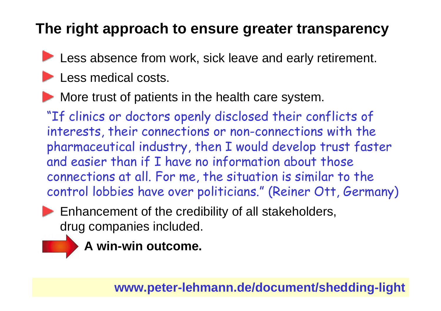## **The right approach to ensure greater transparency**

- Less absence from work, sick leave and early retirement.
- Less medical costs.
- More trust of patients in the health care system.

"If clinics or doctors openly disclosed their conflicts of interests, their connections or non-connections with the pharmaceutical industry, then I would develop trust faster and easier than if I have no information about those connections at all. For me, the situation is similar to the control lobbies have over politicians." (Reiner Ott, Germany)

- **Enhancement of the credibility of all stakeholders,** drug companies included.
	- **A win-win outcome.**